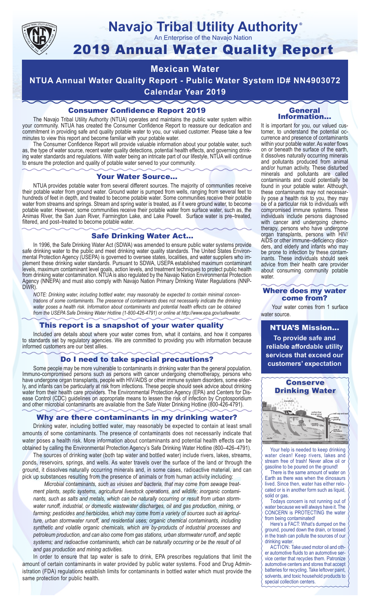

## **Navajo Tribal Utility Authority** ®

An Enterprise of the Navajo Nation

# 2019 Annual Water Quality Report

# **Mexican Water**

**NTUA Annual Water Quality Report - Public Water System ID# NN4903072 Calendar Year 2019**

## Consumer Confidence Report 2019

The Navajo Tribal Utility Authority (NTUA) operates and maintains the public water system within your community. NTUA has created the Consumer Confidence Report to reassure our dedication and commitment in providing safe and quality potable water to you, our valued customer. Please take a few minutes to view this report and become familiar with your potable water.

The Consumer Confidence Report will provide valuable information about your potable water, such as, the type of water source, recent water quality detections, potential health effects, and governing drinking water standards and regulations. With water being an intricate part of our lifestyle, NTUA will continue to ensure the protection and quality of potable water served to your community.

#### Your Water Source…

NTUA provides potable water from several different sources. The majority of communities receive their potable water from ground water. Ground water is pumped from wells, ranging from several feet to hundreds of feet in depth, and treated to become potable water. Some communities receive their potable water from streams and springs. Stream and spring water is treated, as if it were ground water, to become potable water. However, some communities receive their potable water from surface water, such as, the Animas River, the San Juan River, Farmington Lake, and Lake Powell. Surface water is pre–treated, filtered, and post–treated to become potable water.

#### Safe Drinking Water Act…

In 1996, the Safe Drinking Water Act (SDWA) was amended to ensure public water systems provide safe drinking water to the public and meet drinking water quality standards. The United States Environmental Protection Agency (USEPA) is governed to oversee states, localities, and water suppliers who implement these drinking water standards. Pursuant to SDWA, USEPA established maximum contaminant levels, maximum contaminant level goals, action levels, and treatment techniques to protect public health from drinking water contamination. NTUA is also regulated by the Navajo Nation Environmental Protection Agency (NNEPA) and must also comply with Navajo Nation Primary Drinking Water Regulations (NNP-DWR)

*NOTE: Drinking water, including bottled water, may reasonably be expected to contain minimal concentrations of some contaminants. The presence of contaminants does not necessarily indicate the drinking water poses a health risk. Information about contaminants and potential health effects can be obtained from the USEPA Safe Drinking Water Hotline (1-800-426-4791) or online at http://www.epa.gov/safewater.*

## This report is a snapshot of your water quality

Included are details about where your water comes from, what it contains, and how it compares to standards set by regulatory agencies. We are committed to providing you with information because informed customers are our best allies.

#### Do I need to take special precautions?

Some people may be more vulnerable to contaminants in drinking water than the general population. Immuno-compromised persons such as persons with cancer undergoing chemotherapy, persons who have undergone organ transplants, people with HIV/AIDS or other immune system disorders, some elderly, and infants can be particularly at risk from infections. These people should seek advice about drinking water from their health care providers. The Environmental Protection Agency (EPA) and Centers for Disease Control (CDC) guidelines on appropriate means to lessen the risk of infection by Cryptosporidium and other microbial contaminants are available from the Safe Water Drinking Hotline (800-426-4791).

## Why are there contaminants in my drinking water?

Drinking water, including bottled water, may reasonably be expected to contain at least small amounts of some contaminants. The presence of contaminants does not necessarily indicate that water poses a health risk. More information about contaminants and potential health effects can be obtained by calling the Environmental Protection Agency's Safe Drinking Water Hotline (800–426–4791).

The sources of drinking water (both tap water and bottled water) include rivers, lakes, streams, ponds, reservoirs, springs, and wells. As water travels over the surface of the land or through the ground, it dissolves naturally occurring minerals and, in some cases, radioactive material, and can pick up substances resulting from the presence of animals or from human activity including:

*Microbial contaminants, such as viruses and bacteria, that may come from sewage treatment plants, septic systems, agricultural livestock operations, and wildlife; inorganic contaminants, such as salts and metals, which can be naturally occurring or result from urban stormwater runoff, industrial, or domestic wastewater discharges, oil and gas production, mining, or farming; pesticides and herbicides, which may come from a variety of sources such as agriculture, urban stormwater runoff, and residential uses; organic chemical contaminants, including synthetic and volatile organic chemicals, which are by-products of industrial processes and petroleum production, and can also come from gas stations, urban stormwater runoff, and septic systems; and radioactive contaminants, which can be naturally occurring or be the result of oil and gas production and mining activities.*

In order to ensure that tap water is safe to drink, EPA prescribes regulations that limit the amount of certain contaminants in water provided by public water systems. Food and Drug Administration (FDA) regulations establish limits for contaminants in bottled water which must provide the same protection for public health.

#### General Information…

It is important for you, our valued customer, to understand the potential occurrence and presence of contaminants within your potable water. As water flows on or beneath the surface of the earth, it dissolves naturally occurring minerals and pollutants produced from animal and/or human activity. These disturbed minerals and pollutants are called contaminants and could potentially be found in your potable water. Although, these contaminants may not necessarily pose a health risk to you, they may be of a particular risk to individuals with compromised immune systems. These individuals include persons diagnosed with cancer and undergoing chemo-<br>therapy, persons who have undergone organ transplants, persons with HIV/ AIDS or other immune–deficiency disor- ders, and elderly and infants who may be prone to infection by these contam- inants. These individuals should seek advice from their health care provider about consuming community potable water.

#### Where does my water come from?

Your water comes from 1 surface water source.

NTUA'S Mission... **To provide safe and reliable affordable utility services that exceed our customers' expectation**



Your help is needed to keep drinking water clean! Keep rivers, lakes and stream free of trash! Never allow oil or gasoline to be poured on the ground!

There is the same amount of water on Earth as there was when the dinosaurs lived. Since then, water has either relocated or is in another form such as liquid, solid or gas.

Todays concern is not running out of water because we will always have it. The CONCERN is PROTECTING the water from being contaminated!

Here's a FACT: What's dumped on the ground, poured down the drain, or tossed in the trash can pollute the sources of our drinking water.

ACTION: Take used motor oil and other automotive fluids to an automotive service center that recycles them. Patronize automotive centers and stores that accept batteries for recycling. Take leftover paint, solvents, and toxic household products to special collection centers.